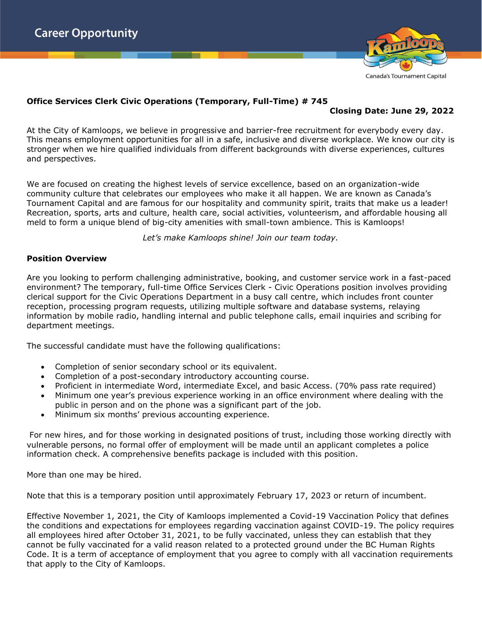

## **Office Services Clerk Civic Operations (Temporary, Full-Time) # 745**

# **Closing Date: June 29, 2022**

At the City of Kamloops, we believe in progressive and barrier-free recruitment for everybody every day. This means employment opportunities for all in a safe, inclusive and diverse workplace. We know our city is stronger when we hire qualified individuals from different backgrounds with diverse experiences, cultures and perspectives.

We are focused on creating the highest levels of service excellence, based on an organization-wide community culture that celebrates our employees who make it all happen. We are known as Canada's Tournament Capital and are famous for our hospitality and community spirit, traits that make us a leader! Recreation, sports, arts and culture, health care, social activities, volunteerism, and affordable housing all meld to form a unique blend of big-city amenities with small-town ambience. This is Kamloops!

*Let's make Kamloops shine! Join our team today.*

#### **Position Overview**

Are you looking to perform challenging administrative, booking, and customer service work in a fast-paced environment? The temporary, full-time Office Services Clerk - Civic Operations position involves providing clerical support for the Civic Operations Department in a busy call centre, which includes front counter reception, processing program requests, utilizing multiple software and database systems, relaying information by mobile radio, handling internal and public telephone calls, email inquiries and scribing for department meetings.

The successful candidate must have the following qualifications:

- Completion of senior secondary school or its equivalent.
- Completion of a post-secondary introductory accounting course.
- Proficient in intermediate Word, intermediate Excel, and basic Access. (70% pass rate required)
- Minimum one year's previous experience working in an office environment where dealing with the public in person and on the phone was a significant part of the job.
- Minimum six months' previous accounting experience.

For new hires, and for those working in designated positions of trust, including those working directly with vulnerable persons, no formal offer of employment will be made until an applicant completes a police information check. A comprehensive benefits package is included with this position.

More than one may be hired.

Note that this is a temporary position until approximately February 17, 2023 or return of incumbent.

Effective November 1, 2021, the City of Kamloops implemented a Covid-19 Vaccination Policy that defines the conditions and expectations for employees regarding vaccination against COVID-19. The policy requires all employees hired after October 31, 2021, to be fully vaccinated, unless they can establish that they cannot be fully vaccinated for a valid reason related to a protected ground under the BC Human Rights Code. It is a term of acceptance of employment that you agree to comply with all vaccination requirements that apply to the City of Kamloops.